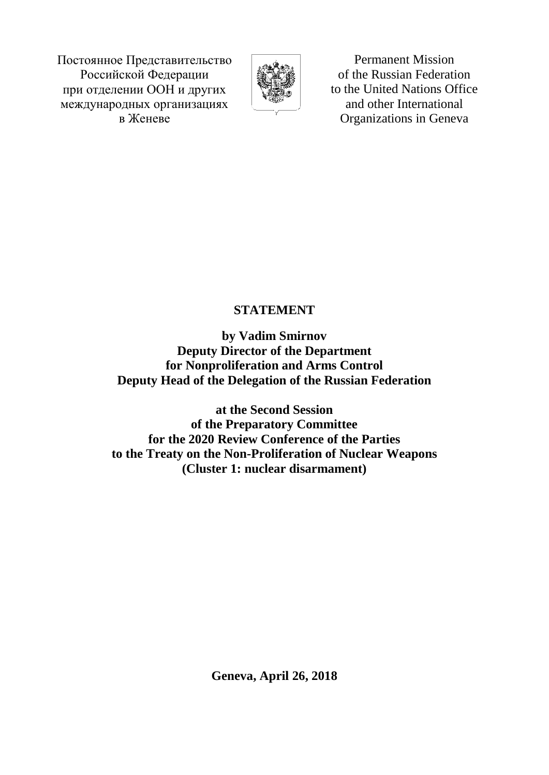Постоянное Представительство Российской Федерации при отделении ООН и других международных организациях в Женеве



Permanent Mission of the Russian Federation to the United Nations Office and other International Organizations in Geneva

## **STATEMENT**

**by Vadim Smirnov Deputy Director of the Department for Nonproliferation and Arms Control Deputy Head of the Delegation of the Russian Federation** 

**at the Second Session of the Preparatory Committee for the 2020 Review Conference of the Parties to the Treaty on the Non-Proliferation of Nuclear Weapons (Cluster 1: nuclear disarmament)**

**Geneva, April 26, 2018**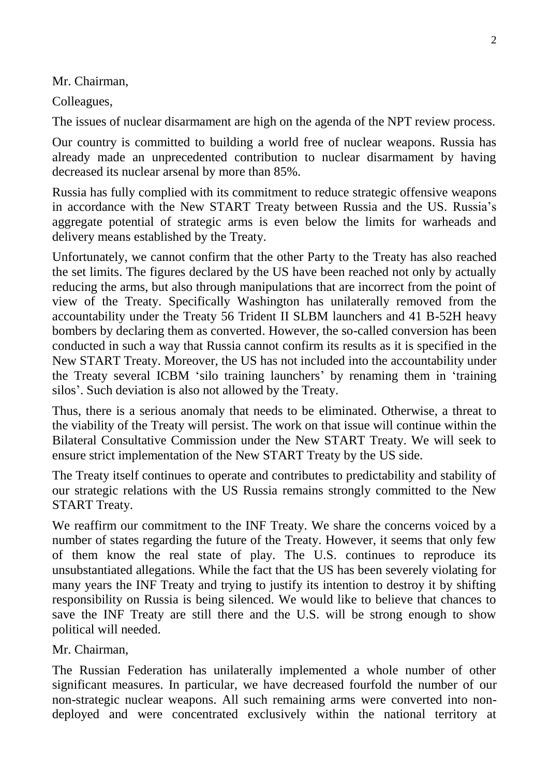Mr. Chairman,

Colleagues,

The issues of nuclear disarmament are high on the agenda of the NPT review process.

Our country is committed to building a world free of nuclear weapons. Russia has already made an unprecedented contribution to nuclear disarmament by having decreased its nuclear arsenal by more than 85%.

Russia has fully complied with its commitment to reduce strategic offensive weapons in accordance with the New START Treaty between Russia and the US. Russia's aggregate potential of strategic arms is even below the limits for warheads and delivery means established by the Treaty.

Unfortunately, we cannot confirm that the other Party to the Treaty has also reached the set limits. The figures declared by the US have been reached not only by actually reducing the arms, but also through manipulations that are incorrect from the point of view of the Treaty. Specifically Washington has unilaterally removed from the accountability under the Treaty 56 Trident II SLBM launchers and 41 B-52H heavy bombers by declaring them as converted. However, the so-called conversion has been conducted in such a way that Russia cannot confirm its results as it is specified in the New START Treaty. Moreover, the US has not included into the accountability under the Treaty several ICBM 'silo training launchers' by renaming them in 'training silos'. Such deviation is also not allowed by the Treaty.

Thus, there is a serious anomaly that needs to be eliminated. Otherwise, a threat to the viability of the Treaty will persist. The work on that issue will continue within the Bilateral Consultative Commission under the New START Treaty. We will seek to ensure strict implementation of the New START Treaty by the US side.

The Treaty itself continues to operate and contributes to predictability and stability of our strategic relations with the US Russia remains strongly committed to the New START Treaty.

We reaffirm our commitment to the INF Treaty. We share the concerns voiced by a number of states regarding the future of the Treaty. However, it seems that only few of them know the real state of play. The U.S. continues to reproduce its unsubstantiated allegations. While the fact that the US has been severely violating for many years the INF Treaty and trying to justify its intention to destroy it by shifting responsibility on Russia is being silenced. We would like to believe that chances to save the INF Treaty are still there and the U.S. will be strong enough to show political will needed.

Mr. Chairman,

The Russian Federation has unilaterally implemented a whole number of other significant measures. In particular, we have decreased fourfold the number of our non-strategic nuclear weapons. All such remaining arms were converted into nondeployed and were concentrated exclusively within the national territory at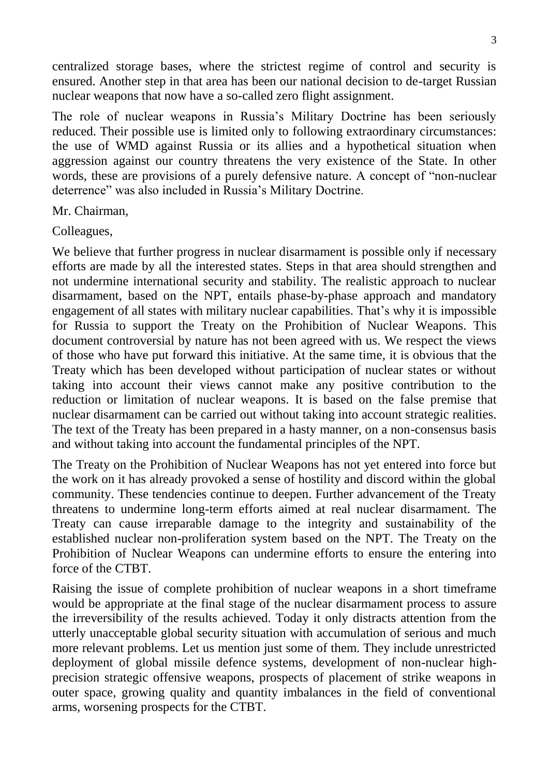centralized storage bases, where the strictest regime of control and security is ensured. Another step in that area has been our national decision to de-target Russian nuclear weapons that now have a so-called zero flight assignment.

The role of nuclear weapons in Russia's Military Doctrine has been seriously reduced. Their possible use is limited only to following extraordinary circumstances: the use of WMD against Russia or its allies and a hypothetical situation when aggression against our country threatens the very existence of the State. In other words, these are provisions of a purely defensive nature. A concept of "non-nuclear deterrence" was also included in Russia's Military Doctrine.

Mr. Chairman,

Colleagues,

We believe that further progress in nuclear disarmament is possible only if necessary efforts are made by all the interested states. Steps in that area should strengthen and not undermine international security and stability. The realistic approach to nuclear disarmament, based on the NPT, entails phase-by-phase approach and mandatory engagement of all states with military nuclear capabilities. That's why it is impossible for Russia to support the Treaty on the Prohibition of Nuclear Weapons. This document controversial by nature has not been agreed with us. We respect the views of those who have put forward this initiative. At the same time, it is obvious that the Treaty which has been developed without participation of nuclear states or without taking into account their views cannot make any positive contribution to the reduction or limitation of nuclear weapons. It is based on the false premise that nuclear disarmament can be carried out without taking into account strategic realities. The text of the Treaty has been prepared in a hasty manner, on a non-consensus basis and without taking into account the fundamental principles of the NPT.

The Treaty on the Prohibition of Nuclear Weapons has not yet entered into force but the work on it has already provoked a sense of hostility and discord within the global community. These tendencies continue to deepen. Further advancement of the Treaty threatens to undermine long-term efforts aimed at real nuclear disarmament. The Treaty can cause irreparable damage to the integrity and sustainability of the established nuclear non-proliferation system based on the NPT. The Treaty on the Prohibition of Nuclear Weapons can undermine efforts to ensure the entering into force of the CTBT.

Raising the issue of complete prohibition of nuclear weapons in a short timeframe would be appropriate at the final stage of the nuclear disarmament process to assure the irreversibility of the results achieved. Today it only distracts attention from the utterly unacceptable global security situation with accumulation of serious and much more relevant problems. Let us mention just some of them. They include unrestricted deployment of global missile defence systems, development of non-nuclear highprecision strategic offensive weapons, prospects of placement of strike weapons in outer space, growing quality and quantity imbalances in the field of conventional arms, worsening prospects for the CTBT.